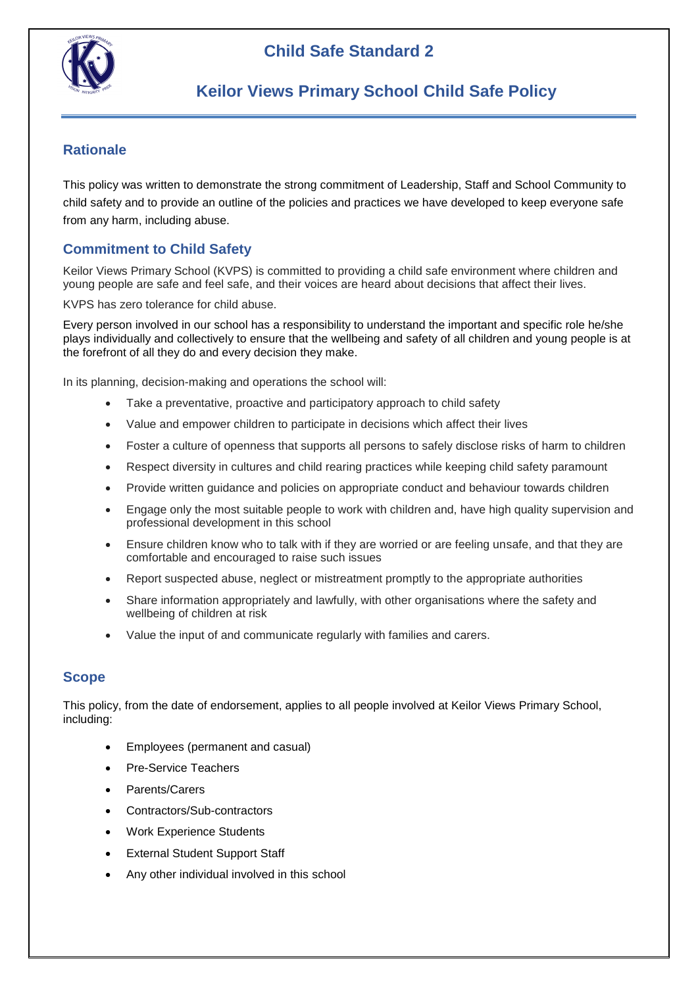

## **Rationale**

This policy was written to demonstrate the strong commitment of Leadership, Staff and School Community to child safety and to provide an outline of the policies and practices we have developed to keep everyone safe from any harm, including abuse.

## **Commitment to Child Safety**

Keilor Views Primary School (KVPS) is committed to providing a child safe environment where children and young people are safe and feel safe, and their voices are heard about decisions that affect their lives.

KVPS has zero tolerance for child abuse.

Every person involved in our school has a responsibility to understand the important and specific role he/she plays individually and collectively to ensure that the wellbeing and safety of all children and young people is at the forefront of all they do and every decision they make.

In its planning, decision-making and operations the school will:

- Take a preventative, proactive and participatory approach to child safety
- Value and empower children to participate in decisions which affect their lives
- Foster a culture of openness that supports all persons to safely disclose risks of harm to children
- Respect diversity in cultures and child rearing practices while keeping child safety paramount
- Provide written guidance and policies on appropriate conduct and behaviour towards children
- Engage only the most suitable people to work with children and, have high quality supervision and professional development in this school
- Ensure children know who to talk with if they are worried or are feeling unsafe, and that they are comfortable and encouraged to raise such issues
- Report suspected abuse, neglect or mistreatment promptly to the appropriate authorities
- Share information appropriately and lawfully, with other organisations where the safety and wellbeing of children at risk
- Value the input of and communicate regularly with families and carers.

## **Scope**

This policy, from the date of endorsement, applies to all people involved at Keilor Views Primary School, including:

- Employees (permanent and casual)
- Pre-Service Teachers
- Parents/Carers
- Contractors/Sub-contractors
- Work Experience Students
- External Student Support Staff
- Any other individual involved in this school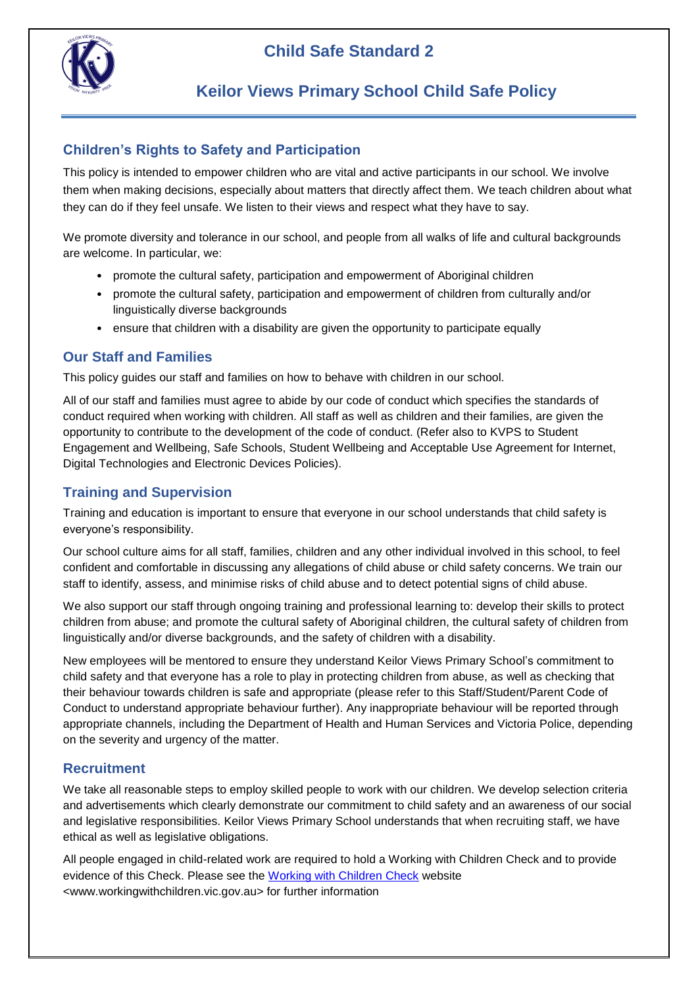

## **Child Safe Standard 2**

## **Keilor Views Primary School Child Safe Policy**

## **Children's Rights to Safety and Participation**

This policy is intended to empower children who are vital and active participants in our school. We involve them when making decisions, especially about matters that directly affect them. We teach children about what they can do if they feel unsafe. We listen to their views and respect what they have to say.

We promote diversity and tolerance in our school, and people from all walks of life and cultural backgrounds are welcome. In particular, we:

- promote the cultural safety, participation and empowerment of Aboriginal children
- promote the cultural safety, participation and empowerment of children from culturally and/or linguistically diverse backgrounds
- ensure that children with a disability are given the opportunity to participate equally

## **Our Staff and Families**

This policy guides our staff and families on how to behave with children in our school.

All of our staff and families must agree to abide by our code of conduct which specifies the standards of conduct required when working with children. All staff as well as children and their families, are given the opportunity to contribute to the development of the code of conduct. (Refer also to KVPS to Student Engagement and Wellbeing, Safe Schools, Student Wellbeing and Acceptable Use Agreement for Internet, Digital Technologies and Electronic Devices Policies).

#### **Training and Supervision**

Training and education is important to ensure that everyone in our school understands that child safety is everyone's responsibility.

Our school culture aims for all staff, families, children and any other individual involved in this school, to feel confident and comfortable in discussing any allegations of child abuse or child safety concerns. We train our staff to identify, assess, and minimise risks of child abuse and to detect potential signs of child abuse.

We also support our staff through ongoing training and professional learning to: develop their skills to protect children from abuse; and promote the cultural safety of Aboriginal children, the cultural safety of children from linguistically and/or diverse backgrounds, and the safety of children with a disability.

New employees will be mentored to ensure they understand Keilor Views Primary School's commitment to child safety and that everyone has a role to play in protecting children from abuse, as well as checking that their behaviour towards children is safe and appropriate (please refer to this Staff/Student/Parent Code of Conduct to understand appropriate behaviour further). Any inappropriate behaviour will be reported through appropriate channels, including the Department of Health and Human Services and Victoria Police, depending on the severity and urgency of the matter.

## **Recruitment**

We take all reasonable steps to employ skilled people to work with our children. We develop selection criteria and advertisements which clearly demonstrate our commitment to child safety and an awareness of our social and legislative responsibilities. Keilor Views Primary School understands that when recruiting staff, we have ethical as well as legislative obligations.

All people engaged in child-related work are required to hold a Working with Children Check and to provide evidence of this Check. Please see the [Working with Children Check](http://www.workingwithchildren.vic.gov.au/) website <www.workingwithchildren.vic.gov.au> for further information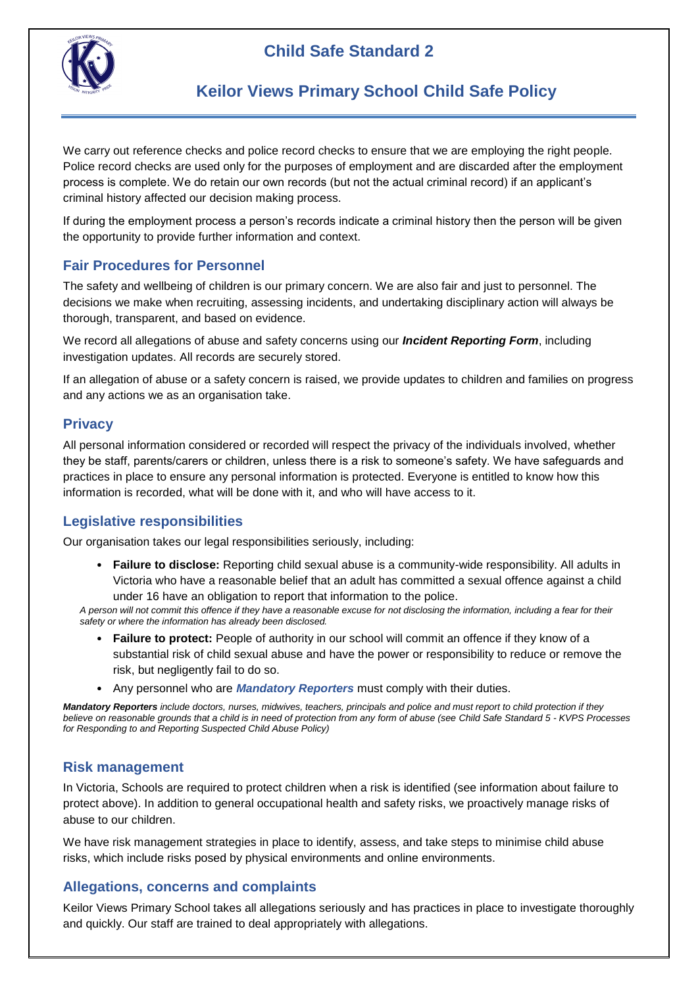# **Child Safe Standard 2**



## **Keilor Views Primary School Child Safe Policy**

We carry out reference checks and police record checks to ensure that we are employing the right people. Police record checks are used only for the purposes of employment and are discarded after the employment process is complete. We do retain our own records (but not the actual criminal record) if an applicant's criminal history affected our decision making process.

If during the employment process a person's records indicate a criminal history then the person will be given the opportunity to provide further information and context.

## **Fair Procedures for Personnel**

The safety and wellbeing of children is our primary concern. We are also fair and just to personnel. The decisions we make when recruiting, assessing incidents, and undertaking disciplinary action will always be thorough, transparent, and based on evidence.

We record all allegations of abuse and safety concerns using our *Incident Reporting Form*, including investigation updates. All records are securely stored.

If an allegation of abuse or a safety concern is raised, we provide updates to children and families on progress and any actions we as an organisation take.

## **Privacy**

All personal information considered or recorded will respect the privacy of the individuals involved, whether they be staff, parents/carers or children, unless there is a risk to someone's safety. We have safeguards and practices in place to ensure any personal information is protected. Everyone is entitled to know how this information is recorded, what will be done with it, and who will have access to it.

## **Legislative responsibilities**

Our organisation takes our legal responsibilities seriously, including:

• **Failure to disclose:** Reporting child sexual abuse is a community-wide responsibility. All adults in Victoria who have a reasonable belief that an adult has committed a sexual offence against a child under 16 have an obligation to report that information to the police.

*A person will not commit this offence if they have a reasonable excuse for not disclosing the information, including a fear for their safety or where the information has already been disclosed.*

- **Failure to protect:** People of authority in our school will commit an offence if they know of a substantial risk of child sexual abuse and have the power or responsibility to reduce or remove the risk, but negligently fail to do so.
- Any personnel who are *Mandatory Reporters* must comply with their duties.

*Mandatory Reporters include doctors, nurses, midwives, teachers, principals and police and must report to child protection if they believe on reasonable grounds that a child is in need of protection from any form of abuse (see Child Safe Standard 5 - KVPS Processes for Responding to and Reporting Suspected Child Abuse Policy)*

## **Risk management**

In Victoria, Schools are required to protect children when a risk is identified (see information about failure to protect above). In addition to general occupational health and safety risks, we proactively manage risks of abuse to our children.

We have risk management strategies in place to identify, assess, and take steps to minimise child abuse risks, which include risks posed by physical environments and online environments.

## **Allegations, concerns and complaints**

Keilor Views Primary School takes all allegations seriously and has practices in place to investigate thoroughly and quickly. Our staff are trained to deal appropriately with allegations.